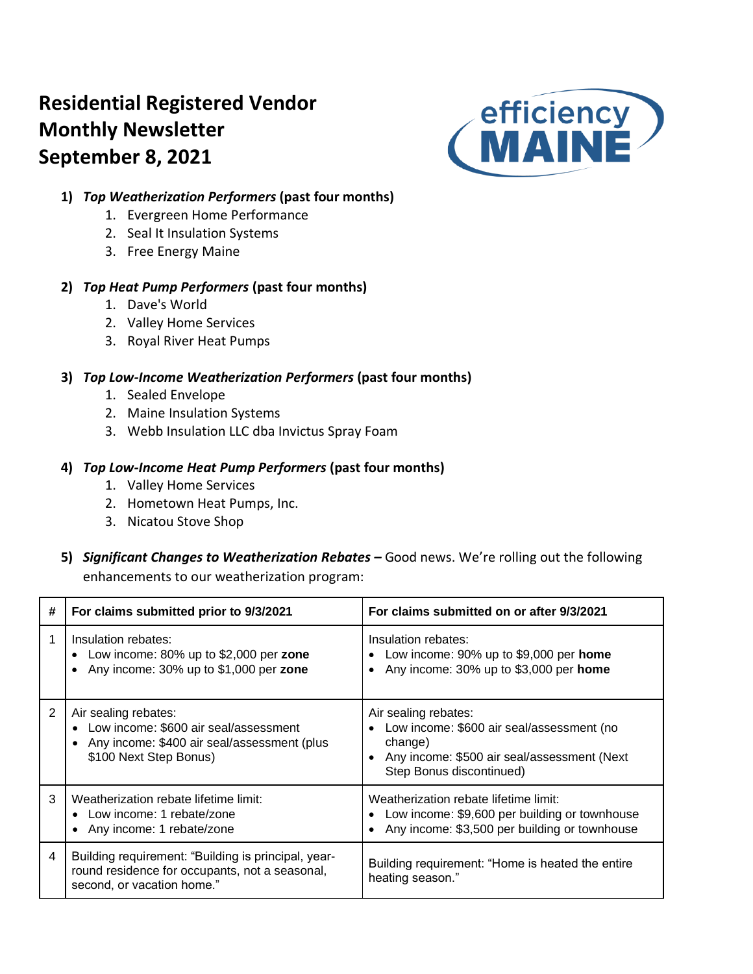# **Residential Registered Vendor Monthly Newsletter September 8, 2021**



## **1)** *Top Weatherization Performers* **(past four months)**

- 1. Evergreen Home Performance
- 2. Seal It Insulation Systems
- 3. Free Energy Maine

### **2)** *Top Heat Pump Performers* **(past four months)**

- 1. Dave's World
- 2. Valley Home Services
- 3. Royal River Heat Pumps

## **3)** *Top Low-Income Weatherization Performers* **(past four months)**

- 1. Sealed Envelope
- 2. Maine Insulation Systems
- 3. Webb Insulation LLC dba Invictus Spray Foam

## **4)** *Top Low-Income Heat Pump Performers* **(past four months)**

- 1. Valley Home Services
- 2. Hometown Heat Pumps, Inc.
- 3. Nicatou Stove Shop
- **5)** *Significant Changes to Weatherization Rebates –* Good news. We're rolling out the following enhancements to our weatherization program:

| # | For claims submitted prior to 9/3/2021                                                                                                 | For claims submitted on or after 9/3/2021                                                                                                               |  |  |  |  |  |  |
|---|----------------------------------------------------------------------------------------------------------------------------------------|---------------------------------------------------------------------------------------------------------------------------------------------------------|--|--|--|--|--|--|
|   | Insulation rebates:<br>Low income: $80\%$ up to \$2,000 per zone<br>Any income: 30% up to \$1,000 per zone                             | Insulation rebates:<br>Low income: $90\%$ up to \$9,000 per home<br>Any income: 30% up to \$3,000 per home                                              |  |  |  |  |  |  |
| 2 | Air sealing rebates:<br>Low income: \$600 air seal/assessment<br>Any income: \$400 air seal/assessment (plus<br>\$100 Next Step Bonus) | Air sealing rebates:<br>Low income: \$600 air seal/assessment (no<br>change)<br>Any income: \$500 air seal/assessment (Next<br>Step Bonus discontinued) |  |  |  |  |  |  |
| 3 | Weatherization rebate lifetime limit:<br>Low income: 1 rebate/zone<br>Any income: 1 rebate/zone                                        | Weatherization rebate lifetime limit:<br>Low income: \$9,600 per building or townhouse<br>Any income: \$3,500 per building or townhouse                 |  |  |  |  |  |  |
| 4 | Building requirement: "Building is principal, year-<br>round residence for occupants, not a seasonal,<br>second, or vacation home."    | Building requirement: "Home is heated the entire<br>heating season."                                                                                    |  |  |  |  |  |  |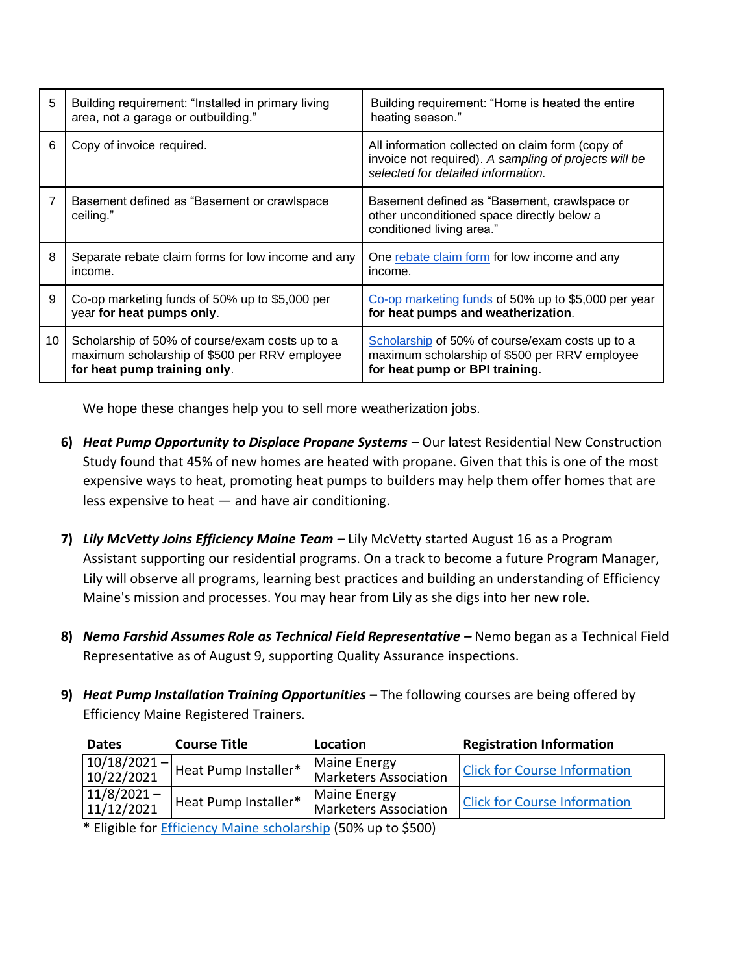| 5  | Building requirement: "Installed in primary living<br>area, not a garage or outbuilding."                                        | Building requirement: "Home is heated the entire<br>heating season."                                                                            |
|----|----------------------------------------------------------------------------------------------------------------------------------|-------------------------------------------------------------------------------------------------------------------------------------------------|
| 6  | Copy of invoice required.                                                                                                        | All information collected on claim form (copy of<br>invoice not required). A sampling of projects will be<br>selected for detailed information. |
| 7  | Basement defined as "Basement or crawlspace"<br>ceiling."                                                                        | Basement defined as "Basement, crawlspace or<br>other unconditioned space directly below a<br>conditioned living area."                         |
| 8  | Separate rebate claim forms for low income and any<br>income.                                                                    | One rebate claim form for low income and any<br>income.                                                                                         |
| 9  | Co-op marketing funds of 50% up to \$5,000 per<br>year for heat pumps only.                                                      | Co-op marketing funds of 50% up to \$5,000 per year<br>for heat pumps and weatherization.                                                       |
| 10 | Scholarship of 50% of course/exam costs up to a<br>maximum scholarship of \$500 per RRV employee<br>for heat pump training only. | Scholarship of 50% of course/exam costs up to a<br>maximum scholarship of \$500 per RRV employee<br>for heat pump or BPI training.              |

We hope these changes help you to sell more weatherization jobs.

- **6)** *Heat Pump Opportunity to Displace Propane Systems –* Our latest Residential New Construction Study found that 45% of new homes are heated with propane. Given that this is one of the most expensive ways to heat, promoting heat pumps to builders may help them offer homes that are less expensive to heat — and have air conditioning.
- **7)** *Lily McVetty Joins Efficiency Maine Team –* Lily McVetty started August 16 as a Program Assistant supporting our residential programs. On a track to become a future Program Manager, Lily will observe all programs, learning best practices and building an understanding of Efficiency Maine's mission and processes. You may hear from Lily as she digs into her new role.
- **8)** *Nemo Farshid Assumes Role as Technical Field Representative –* Nemo began as a Technical Field Representative as of August 9, supporting Quality Assurance inspections.
- **9)** *Heat Pump Installation Training Opportunities* **–** The following courses are being offered by Efficiency Maine Registered Trainers.

| <b>Dates</b>                                                                                                                                                                                                                                                                                                        | <b>Course Title</b>                      | Location                                            | <b>Registration Information</b>     |  |  |  |  |  |  |  |
|---------------------------------------------------------------------------------------------------------------------------------------------------------------------------------------------------------------------------------------------------------------------------------------------------------------------|------------------------------------------|-----------------------------------------------------|-------------------------------------|--|--|--|--|--|--|--|
| 10/22/2021                                                                                                                                                                                                                                                                                                          | $\sqrt{10/18/2021}$ Heat Pump Installer* | <b>Maine Energy</b><br><b>Marketers Association</b> | <b>Click for Course Information</b> |  |  |  |  |  |  |  |
| $11/8/2021 -$<br>11/12/2021                                                                                                                                                                                                                                                                                         | Heat Pump Installer*                     | <b>Maine Energy</b><br><b>Marketers Association</b> | <b>Click for Course Information</b> |  |  |  |  |  |  |  |
| $\frac{1}{2}$ $\frac{1}{2}$ $\frac{1}{2}$ $\frac{1}{2}$ $\frac{1}{2}$ $\frac{1}{2}$ $\frac{1}{2}$ $\frac{1}{2}$ $\frac{1}{2}$ $\frac{1}{2}$ $\frac{1}{2}$ $\frac{1}{2}$ $\frac{1}{2}$ $\frac{1}{2}$ $\frac{1}{2}$ $\frac{1}{2}$ $\frac{1}{2}$ $\frac{1}{2}$ $\frac{1}{2}$ $\frac{1}{2}$ $\frac{1}{2}$ $\frac{1}{2}$ |                                          |                                                     |                                     |  |  |  |  |  |  |  |

\* Eligible for [Efficiency Maine scholarship](https://www.efficiencymaine.com/docs/RRV-Heat-Pump-Training-Scholarship-Application.pdf) (50% up to \$500)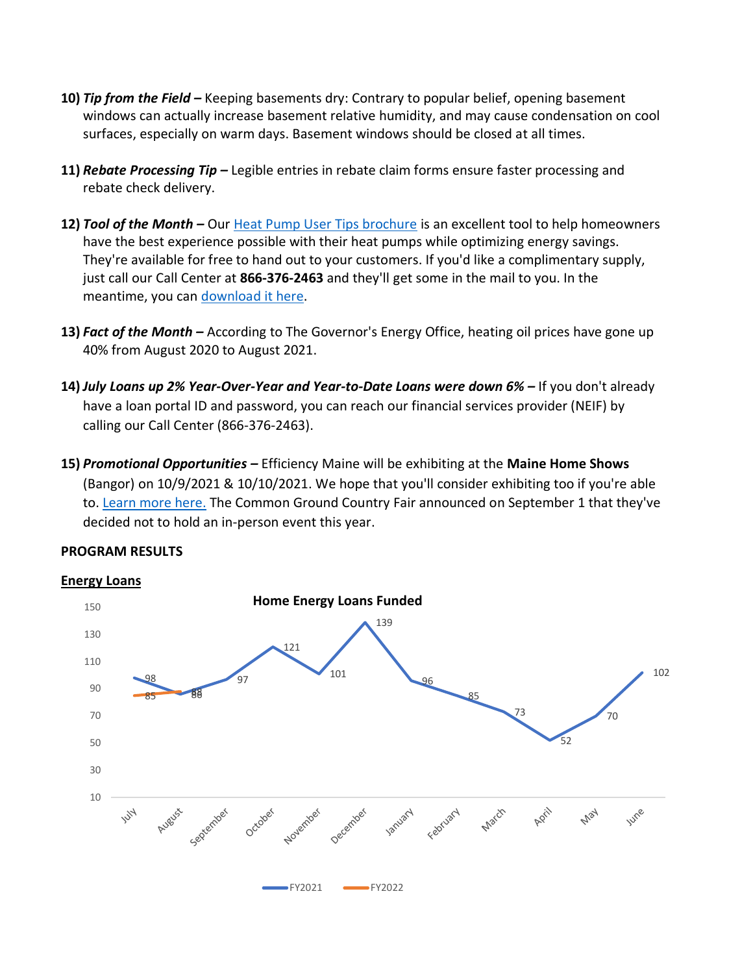- **10)** *Tip from the Field –* Keeping basements dry: Contrary to popular belief, opening basement windows can actually increase basement relative humidity, and may cause condensation on cool surfaces, especially on warm days. Basement windows should be closed at all times.
- **11)** *Rebate Processing Tip –* Legible entries in rebate claim forms ensure faster processing and rebate check delivery.
- **12)** *Tool of the Month –* Our [Heat Pump User Tips brochure](https://www.efficiencymaine.com/docs/Heat-Pump-User-Tips.pdf) is an excellent tool to help homeowners have the best experience possible with their heat pumps while optimizing energy savings. They're available for free to hand out to your customers. If you'd like a complimentary supply, just call our Call Center at **866-376-2463** and they'll get some in the mail to you. In the meantime, you can [download it here.](https://www.efficiencymaine.com/docs/Heat-Pump-User-Tips.pdf)
- **13)** *Fact of the Month –* According to The Governor's Energy Office, heating oil prices have gone up 40% from August 2020 to August 2021.
- **14)** *July Loans up 2% Year-Over-Year and Year-to-Date Loans were down 6% –* If you don't already have a loan portal ID and password, you can reach our financial services provider (NEIF) by calling our Call Center (866-376-2463).
- **15)** *Promotional Opportunities –* Efficiency Maine will be exhibiting at the **Maine Home Shows** (Bangor) on 10/9/2021 & 10/10/2021. We hope that you'll consider exhibiting too if you're able to. [Learn more here.](https://mainehomeshows.com/) The Common Ground Country Fair announced on September 1 that they've decided not to hold an in-person event this year.

#### **PROGRAM RESULTS**



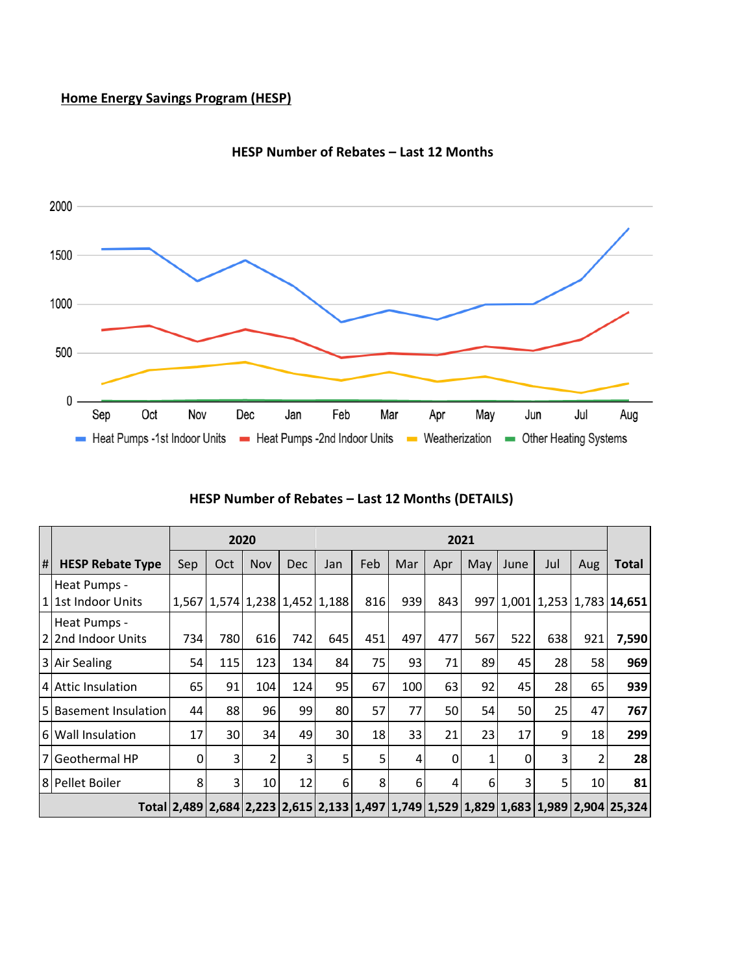## **Home Energy Savings Program (HESP)**



**HESP Number of Rebates – Last 12 Months**

|    |                                    |       |     | 2020           |                           | 2021 |     |     |     |     |      |     |     |                                                                                      |
|----|------------------------------------|-------|-----|----------------|---------------------------|------|-----|-----|-----|-----|------|-----|-----|--------------------------------------------------------------------------------------|
| #I | <b>HESP Rebate Type</b>            | Sep   | Oct | Nov            | <b>Dec</b>                | Jan  | Feb | Mar | Apr | May | June | Jul | Aug | Total                                                                                |
|    | Heat Pumps -<br>1 1st Indoor Units | 1.567 |     |                | $1,574$ 1,238 1,452 1,188 |      | 816 | 939 | 843 |     |      |     |     | 997 1,001 1,253 1,783 14,651                                                         |
|    | Heat Pumps -<br>22nd Indoor Units  | 734   | 780 | 616            | 742                       | 645  | 451 | 497 | 477 | 567 | 522  | 638 | 921 | 7,590                                                                                |
|    | 3 Air Sealing                      | 54    | 115 | 123            | 134                       | 84   | 75  | 93  | 71  | 89  | 45   | 28  | 58  | 969                                                                                  |
|    | 4 Attic Insulation                 | 65    | 91  | 104            | 124                       | 95   | 67  | 100 | 63  | 92  | 45   | 28  | 65  | 939                                                                                  |
|    | 5 Basement Insulation              | 44    | 88  | 96             | 99                        | 80   | 57  | 77  | 50  | 54  | 50   | 25  | 47  | 767                                                                                  |
|    | 6 Wall Insulation                  | 17    | 30  | 34             | 49                        | 30   | 18  | 33  | 21  | 23  | 17   | 9   | 18  | 299                                                                                  |
|    | 7 Geothermal HP                    | 0     | 3   | $\overline{2}$ | 3                         | 5    | 5   | 4   | 0   |     | 0    | 3   | 2   | 28                                                                                   |
|    | 8 Pellet Boiler                    | 8     | 3   | 10             | 12                        | 6    | 8   | 6   | 4   | 6   | 3    | 5   | 10  | 81                                                                                   |
|    |                                    |       |     |                |                           |      |     |     |     |     |      |     |     | Total 2,489 2,684 2,223 2,615 2,133 1,497 1,749 1,529 1,829 1,683 1,989 2,904 25,324 |

|  |  | HESP Number of Rebates - Last 12 Months (DETAILS) |  |  |  |
|--|--|---------------------------------------------------|--|--|--|
|--|--|---------------------------------------------------|--|--|--|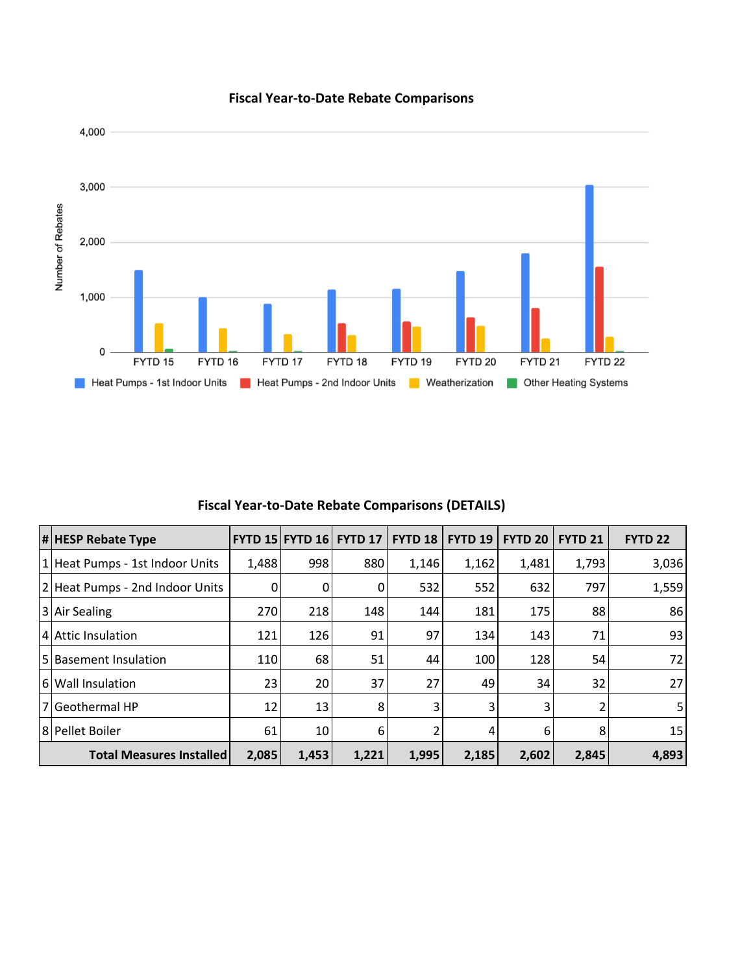

## **Fiscal Year-to-Date Rebate Comparisons**

**Fiscal Year-to-Date Rebate Comparisons (DETAILS)**

| # HESP Rebate Type              |       |       | <b>FYTD 15 FYTD 16 FYTD 17</b> | <b>FYTD 18</b> | <b>FYTD 19</b> | <b>FYTD 20</b> | <b>FYTD 21</b> | <b>FYTD 22</b> |
|---------------------------------|-------|-------|--------------------------------|----------------|----------------|----------------|----------------|----------------|
| 1 Heat Pumps - 1st Indoor Units | 1,488 | 998   | 880                            | 1,146          | 1,162          | 1,481          | 1,793          | 3,036          |
| 2 Heat Pumps - 2nd Indoor Units | 0     | 0     | 0                              | 532            | 552            | 632            | 797            | 1,559          |
| 3 Air Sealing                   | 270   | 218   | 148                            | 144            | 181            | 175            | 88             | 86             |
| 4 Attic Insulation              | 121   | 126   | 91                             | 97             | 134            | 143            | 71             | 93             |
| 5 Basement Insulation           | 110   | 68    | 51                             | 44             | 100            | 128            | 54             | 72             |
| 6 Wall Insulation               | 23    | 20    | 37                             | 27             | 49             | 34             | 32             | 27             |
| l 7 l Geothermal HP             | 12    | 13    | 8                              | 3              | 3              | 3              |                | 5 <sub>l</sub> |
| 8 Pellet Boiler                 | 61    | 10    | 6                              |                | 4              | 6              | 8              | 15             |
| <b>Total Measures Installed</b> | 2,085 | 1,453 | 1,221                          | 1,995          | 2,185          | 2,602          | 2,845          | 4,893          |